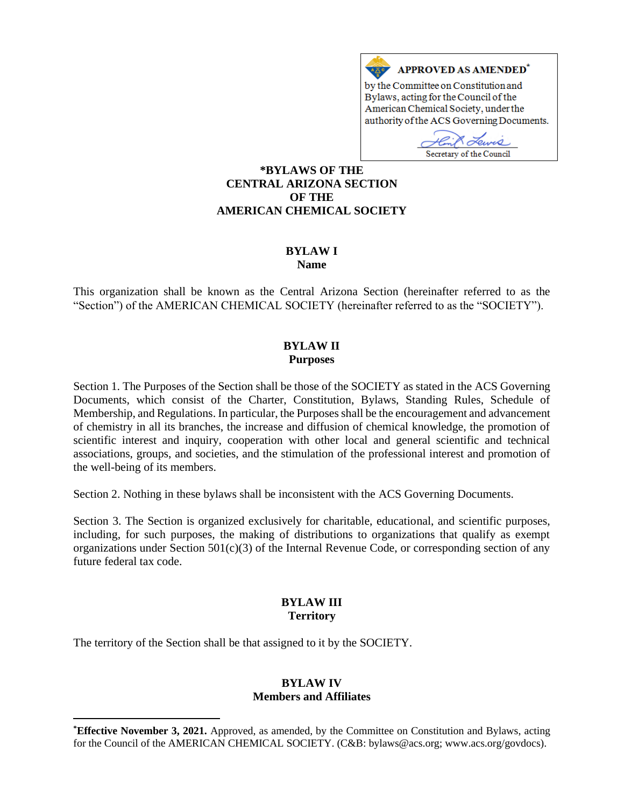

Bylaws, acting for the Council of the American Chemical Society, under the authority of the ACS Governing Documents.

Hink Lewis Secretary of the Council

### **\*BYLAWS OF THE CENTRAL ARIZONA SECTION OF THE AMERICAN CHEMICAL SOCIETY**

#### **BYLAW I Name**

This organization shall be known as the Central Arizona Section (hereinafter referred to as the "Section") of the AMERICAN CHEMICAL SOCIETY (hereinafter referred to as the "SOCIETY").

## **BYLAW II Purposes**

Section 1. The Purposes of the Section shall be those of the SOCIETY as stated in the ACS Governing Documents, which consist of the Charter, Constitution, Bylaws, Standing Rules, Schedule of Membership, and Regulations. In particular, the Purposes shall be the encouragement and advancement of chemistry in all its branches, the increase and diffusion of chemical knowledge, the promotion of scientific interest and inquiry, cooperation with other local and general scientific and technical associations, groups, and societies, and the stimulation of the professional interest and promotion of the well-being of its members.

Section 2. Nothing in these bylaws shall be inconsistent with the ACS Governing Documents.

Section 3. The Section is organized exclusively for charitable, educational, and scientific purposes, including, for such purposes, the making of distributions to organizations that qualify as exempt organizations under Section  $501(c)(3)$  of the Internal Revenue Code, or corresponding section of any future federal tax code.

### **BYLAW III Territory**

The territory of the Section shall be that assigned to it by the SOCIETY.

#### **BYLAW IV Members and Affiliates**

**<sup>\*</sup>Effective November 3, 2021.** Approved, as amended, by the Committee on Constitution and Bylaws, acting for the Council of the AMERICAN CHEMICAL SOCIETY. (C&B: bylaws@acs.org; www.acs.org/govdocs).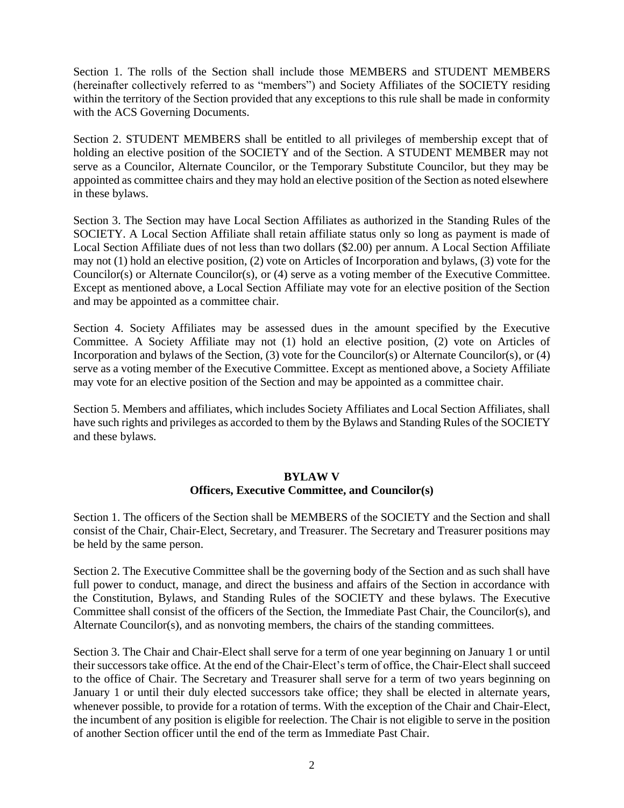Section 1. The rolls of the Section shall include those MEMBERS and STUDENT MEMBERS (hereinafter collectively referred to as "members") and Society Affiliates of the SOCIETY residing within the territory of the Section provided that any exceptions to this rule shall be made in conformity with the ACS Governing Documents.

Section 2. STUDENT MEMBERS shall be entitled to all privileges of membership except that of holding an elective position of the SOCIETY and of the Section. A STUDENT MEMBER may not serve as a Councilor, Alternate Councilor, or the Temporary Substitute Councilor, but they may be appointed as committee chairs and they may hold an elective position of the Section as noted elsewhere in these bylaws.

Section 3. The Section may have Local Section Affiliates as authorized in the Standing Rules of the SOCIETY. A Local Section Affiliate shall retain affiliate status only so long as payment is made of Local Section Affiliate dues of not less than two dollars (\$2.00) per annum. A Local Section Affiliate may not (1) hold an elective position, (2) vote on Articles of Incorporation and bylaws, (3) vote for the Councilor(s) or Alternate Councilor(s), or (4) serve as a voting member of the Executive Committee. Except as mentioned above, a Local Section Affiliate may vote for an elective position of the Section and may be appointed as a committee chair.

Section 4. Society Affiliates may be assessed dues in the amount specified by the Executive Committee. A Society Affiliate may not (1) hold an elective position, (2) vote on Articles of Incorporation and bylaws of the Section, (3) vote for the Councilor(s) or Alternate Councilor(s), or (4) serve as a voting member of the Executive Committee. Except as mentioned above, a Society Affiliate may vote for an elective position of the Section and may be appointed as a committee chair.

Section 5. Members and affiliates, which includes Society Affiliates and Local Section Affiliates, shall have such rights and privileges as accorded to them by the Bylaws and Standing Rules of the SOCIETY and these bylaws.

## **BYLAW V**

## **Officers, Executive Committee, and Councilor(s)**

Section 1. The officers of the Section shall be MEMBERS of the SOCIETY and the Section and shall consist of the Chair, Chair-Elect, Secretary, and Treasurer. The Secretary and Treasurer positions may be held by the same person.

Section 2. The Executive Committee shall be the governing body of the Section and as such shall have full power to conduct, manage, and direct the business and affairs of the Section in accordance with the Constitution, Bylaws, and Standing Rules of the SOCIETY and these bylaws. The Executive Committee shall consist of the officers of the Section, the Immediate Past Chair, the Councilor(s), and Alternate Councilor(s), and as nonvoting members, the chairs of the standing committees.

Section 3. The Chair and Chair-Elect shall serve for a term of one year beginning on January 1 or until their successors take office. At the end of the Chair-Elect's term of office, the Chair-Elect shall succeed to the office of Chair. The Secretary and Treasurer shall serve for a term of two years beginning on January 1 or until their duly elected successors take office; they shall be elected in alternate years, whenever possible, to provide for a rotation of terms. With the exception of the Chair and Chair-Elect, the incumbent of any position is eligible for reelection. The Chair is not eligible to serve in the position of another Section officer until the end of the term as Immediate Past Chair.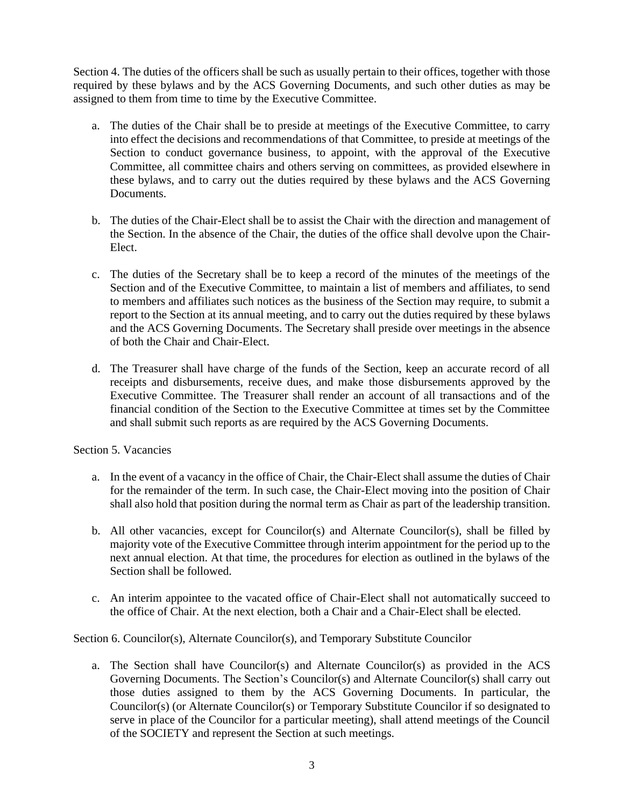Section 4. The duties of the officers shall be such as usually pertain to their offices, together with those required by these bylaws and by the ACS Governing Documents, and such other duties as may be assigned to them from time to time by the Executive Committee.

- a. The duties of the Chair shall be to preside at meetings of the Executive Committee, to carry into effect the decisions and recommendations of that Committee, to preside at meetings of the Section to conduct governance business, to appoint, with the approval of the Executive Committee, all committee chairs and others serving on committees, as provided elsewhere in these bylaws, and to carry out the duties required by these bylaws and the ACS Governing Documents.
- b. The duties of the Chair-Elect shall be to assist the Chair with the direction and management of the Section. In the absence of the Chair, the duties of the office shall devolve upon the Chair-Elect.
- c. The duties of the Secretary shall be to keep a record of the minutes of the meetings of the Section and of the Executive Committee, to maintain a list of members and affiliates, to send to members and affiliates such notices as the business of the Section may require, to submit a report to the Section at its annual meeting, and to carry out the duties required by these bylaws and the ACS Governing Documents. The Secretary shall preside over meetings in the absence of both the Chair and Chair-Elect.
- d. The Treasurer shall have charge of the funds of the Section, keep an accurate record of all receipts and disbursements, receive dues, and make those disbursements approved by the Executive Committee. The Treasurer shall render an account of all transactions and of the financial condition of the Section to the Executive Committee at times set by the Committee and shall submit such reports as are required by the ACS Governing Documents.

## Section 5. Vacancies

- a. In the event of a vacancy in the office of Chair, the Chair-Elect shall assume the duties of Chair for the remainder of the term. In such case, the Chair-Elect moving into the position of Chair shall also hold that position during the normal term as Chair as part of the leadership transition.
- b. All other vacancies, except for Councilor(s) and Alternate Councilor(s), shall be filled by majority vote of the Executive Committee through interim appointment for the period up to the next annual election. At that time, the procedures for election as outlined in the bylaws of the Section shall be followed.
- c. An interim appointee to the vacated office of Chair-Elect shall not automatically succeed to the office of Chair. At the next election, both a Chair and a Chair-Elect shall be elected.

Section 6. Councilor(s), Alternate Councilor(s), and Temporary Substitute Councilor

a. The Section shall have Councilor(s) and Alternate Councilor(s) as provided in the ACS Governing Documents. The Section's Councilor(s) and Alternate Councilor(s) shall carry out those duties assigned to them by the ACS Governing Documents. In particular, the Councilor(s) (or Alternate Councilor(s) or Temporary Substitute Councilor if so designated to serve in place of the Councilor for a particular meeting), shall attend meetings of the Council of the SOCIETY and represent the Section at such meetings.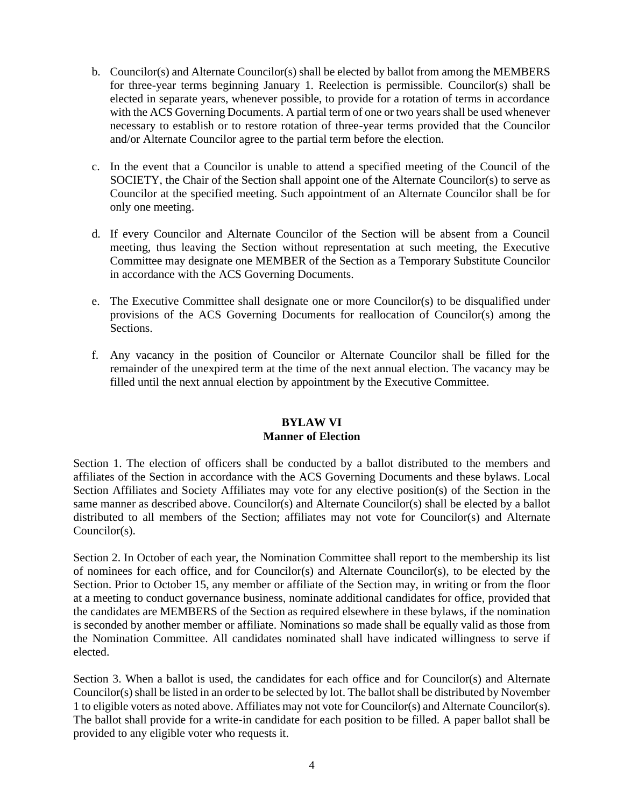- b. Councilor(s) and Alternate Councilor(s) shall be elected by ballot from among the MEMBERS for three-year terms beginning January 1. Reelection is permissible. Councilor(s) shall be elected in separate years, whenever possible, to provide for a rotation of terms in accordance with the ACS Governing Documents. A partial term of one or two years shall be used whenever necessary to establish or to restore rotation of three-year terms provided that the Councilor and/or Alternate Councilor agree to the partial term before the election.
- c. In the event that a Councilor is unable to attend a specified meeting of the Council of the SOCIETY, the Chair of the Section shall appoint one of the Alternate Councilor(s) to serve as Councilor at the specified meeting. Such appointment of an Alternate Councilor shall be for only one meeting.
- d. If every Councilor and Alternate Councilor of the Section will be absent from a Council meeting, thus leaving the Section without representation at such meeting, the Executive Committee may designate one MEMBER of the Section as a Temporary Substitute Councilor in accordance with the ACS Governing Documents.
- e. The Executive Committee shall designate one or more Councilor(s) to be disqualified under provisions of the ACS Governing Documents for reallocation of Councilor(s) among the Sections.
- f. Any vacancy in the position of Councilor or Alternate Councilor shall be filled for the remainder of the unexpired term at the time of the next annual election. The vacancy may be filled until the next annual election by appointment by the Executive Committee.

#### **BYLAW VI Manner of Election**

Section 1. The election of officers shall be conducted by a ballot distributed to the members and affiliates of the Section in accordance with the ACS Governing Documents and these bylaws. Local Section Affiliates and Society Affiliates may vote for any elective position(s) of the Section in the same manner as described above. Councilor(s) and Alternate Councilor(s) shall be elected by a ballot distributed to all members of the Section; affiliates may not vote for Councilor(s) and Alternate Councilor(s).

Section 2. In October of each year, the Nomination Committee shall report to the membership its list of nominees for each office, and for Councilor(s) and Alternate Councilor(s), to be elected by the Section. Prior to October 15, any member or affiliate of the Section may, in writing or from the floor at a meeting to conduct governance business, nominate additional candidates for office, provided that the candidates are MEMBERS of the Section as required elsewhere in these bylaws, if the nomination is seconded by another member or affiliate. Nominations so made shall be equally valid as those from the Nomination Committee. All candidates nominated shall have indicated willingness to serve if elected.

Section 3. When a ballot is used, the candidates for each office and for Councilor(s) and Alternate Councilor(s) shall be listed in an order to be selected by lot. The ballot shall be distributed by November 1 to eligible voters as noted above. Affiliates may not vote for Councilor(s) and Alternate Councilor(s). The ballot shall provide for a write-in candidate for each position to be filled. A paper ballot shall be provided to any eligible voter who requests it.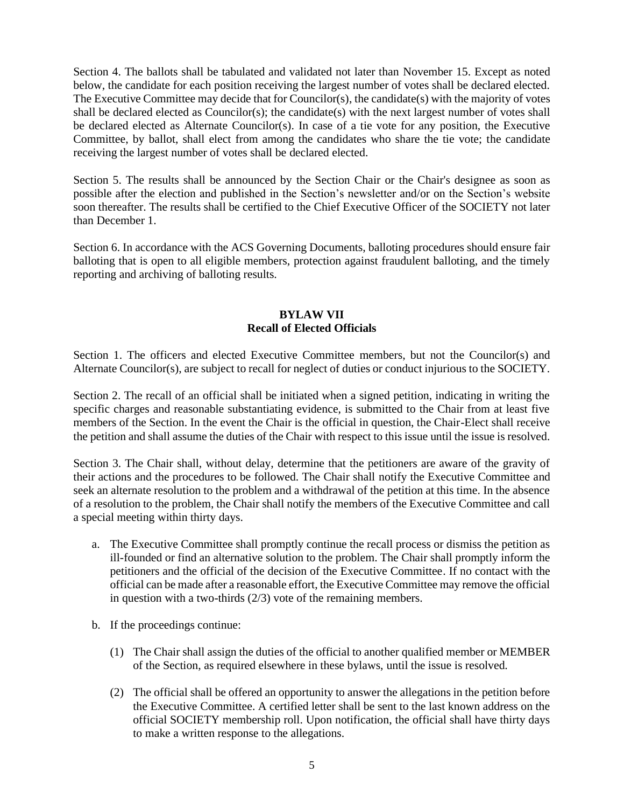Section 4. The ballots shall be tabulated and validated not later than November 15. Except as noted below, the candidate for each position receiving the largest number of votes shall be declared elected. The Executive Committee may decide that for Councilor(s), the candidate(s) with the majority of votes shall be declared elected as Councilor(s); the candidate(s) with the next largest number of votes shall be declared elected as Alternate Councilor(s). In case of a tie vote for any position, the Executive Committee, by ballot, shall elect from among the candidates who share the tie vote; the candidate receiving the largest number of votes shall be declared elected.

Section 5. The results shall be announced by the Section Chair or the Chair's designee as soon as possible after the election and published in the Section's newsletter and/or on the Section's website soon thereafter. The results shall be certified to the Chief Executive Officer of the SOCIETY not later than December 1.

Section 6. In accordance with the ACS Governing Documents, balloting procedures should ensure fair balloting that is open to all eligible members, protection against fraudulent balloting, and the timely reporting and archiving of balloting results.

## **BYLAW VII Recall of Elected Officials**

Section 1. The officers and elected Executive Committee members, but not the Councilor(s) and Alternate Councilor(s), are subject to recall for neglect of duties or conduct injurious to the SOCIETY.

Section 2. The recall of an official shall be initiated when a signed petition, indicating in writing the specific charges and reasonable substantiating evidence, is submitted to the Chair from at least five members of the Section. In the event the Chair is the official in question, the Chair-Elect shall receive the petition and shall assume the duties of the Chair with respect to this issue until the issue is resolved.

Section 3. The Chair shall, without delay, determine that the petitioners are aware of the gravity of their actions and the procedures to be followed. The Chair shall notify the Executive Committee and seek an alternate resolution to the problem and a withdrawal of the petition at this time. In the absence of a resolution to the problem, the Chair shall notify the members of the Executive Committee and call a special meeting within thirty days.

- a. The Executive Committee shall promptly continue the recall process or dismiss the petition as ill-founded or find an alternative solution to the problem. The Chair shall promptly inform the petitioners and the official of the decision of the Executive Committee. If no contact with the official can be made after a reasonable effort, the Executive Committee may remove the official in question with a two-thirds (2/3) vote of the remaining members.
- b. If the proceedings continue:
	- (1) The Chair shall assign the duties of the official to another qualified member or MEMBER of the Section, as required elsewhere in these bylaws, until the issue is resolved.
	- (2) The official shall be offered an opportunity to answer the allegations in the petition before the Executive Committee. A certified letter shall be sent to the last known address on the official SOCIETY membership roll. Upon notification, the official shall have thirty days to make a written response to the allegations.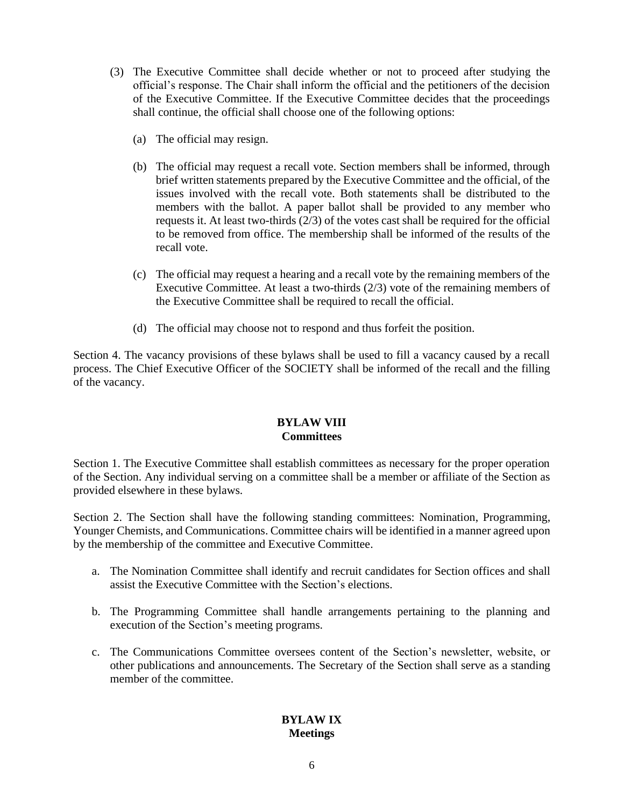- (3) The Executive Committee shall decide whether or not to proceed after studying the official's response. The Chair shall inform the official and the petitioners of the decision of the Executive Committee. If the Executive Committee decides that the proceedings shall continue, the official shall choose one of the following options:
	- (a) The official may resign.
	- (b) The official may request a recall vote. Section members shall be informed, through brief written statements prepared by the Executive Committee and the official, of the issues involved with the recall vote. Both statements shall be distributed to the members with the ballot. A paper ballot shall be provided to any member who requests it. At least two-thirds (2/3) of the votes cast shall be required for the official to be removed from office. The membership shall be informed of the results of the recall vote.
	- (c) The official may request a hearing and a recall vote by the remaining members of the Executive Committee. At least a two-thirds (2/3) vote of the remaining members of the Executive Committee shall be required to recall the official.
	- (d) The official may choose not to respond and thus forfeit the position.

Section 4. The vacancy provisions of these bylaws shall be used to fill a vacancy caused by a recall process. The Chief Executive Officer of the SOCIETY shall be informed of the recall and the filling of the vacancy.

## **BYLAW VIII Committees**

Section 1. The Executive Committee shall establish committees as necessary for the proper operation of the Section. Any individual serving on a committee shall be a member or affiliate of the Section as provided elsewhere in these bylaws.

Section 2. The Section shall have the following standing committees: Nomination, Programming, Younger Chemists, and Communications. Committee chairs will be identified in a manner agreed upon by the membership of the committee and Executive Committee.

- a. The Nomination Committee shall identify and recruit candidates for Section offices and shall assist the Executive Committee with the Section's elections.
- b. The Programming Committee shall handle arrangements pertaining to the planning and execution of the Section's meeting programs.
- c. The Communications Committee oversees content of the Section's newsletter, website, or other publications and announcements. The Secretary of the Section shall serve as a standing member of the committee.

# **BYLAW IX Meetings**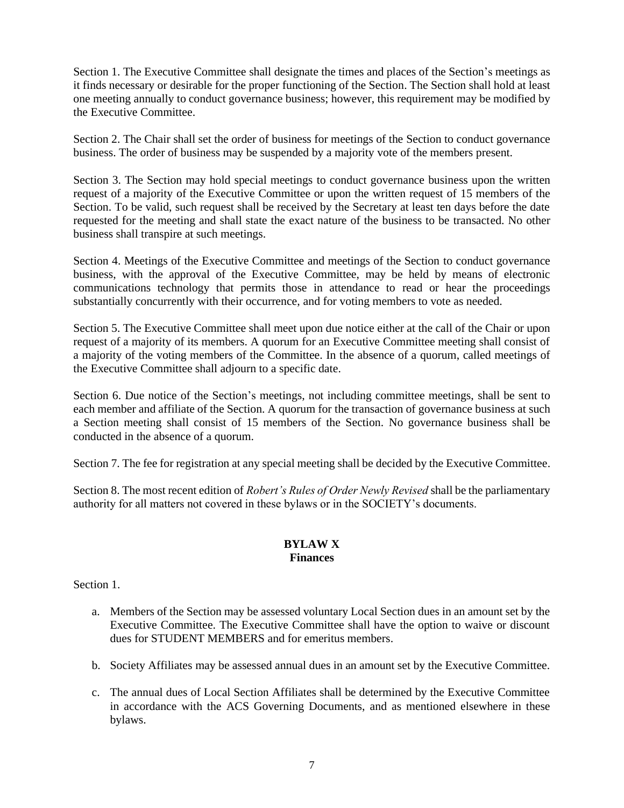Section 1. The Executive Committee shall designate the times and places of the Section's meetings as it finds necessary or desirable for the proper functioning of the Section. The Section shall hold at least one meeting annually to conduct governance business; however, this requirement may be modified by the Executive Committee.

Section 2. The Chair shall set the order of business for meetings of the Section to conduct governance business. The order of business may be suspended by a majority vote of the members present.

Section 3. The Section may hold special meetings to conduct governance business upon the written request of a majority of the Executive Committee or upon the written request of 15 members of the Section. To be valid, such request shall be received by the Secretary at least ten days before the date requested for the meeting and shall state the exact nature of the business to be transacted. No other business shall transpire at such meetings.

Section 4. Meetings of the Executive Committee and meetings of the Section to conduct governance business, with the approval of the Executive Committee, may be held by means of electronic communications technology that permits those in attendance to read or hear the proceedings substantially concurrently with their occurrence, and for voting members to vote as needed.

Section 5. The Executive Committee shall meet upon due notice either at the call of the Chair or upon request of a majority of its members. A quorum for an Executive Committee meeting shall consist of a majority of the voting members of the Committee. In the absence of a quorum, called meetings of the Executive Committee shall adjourn to a specific date.

Section 6. Due notice of the Section's meetings, not including committee meetings, shall be sent to each member and affiliate of the Section. A quorum for the transaction of governance business at such a Section meeting shall consist of 15 members of the Section. No governance business shall be conducted in the absence of a quorum.

Section 7. The fee for registration at any special meeting shall be decided by the Executive Committee.

Section 8. The most recent edition of *Robert's Rules of Order Newly Revised* shall be the parliamentary authority for all matters not covered in these bylaws or in the SOCIETY's documents.

## **BYLAW X Finances**

Section 1.

- a. Members of the Section may be assessed voluntary Local Section dues in an amount set by the Executive Committee. The Executive Committee shall have the option to waive or discount dues for STUDENT MEMBERS and for emeritus members.
- b. Society Affiliates may be assessed annual dues in an amount set by the Executive Committee.
- c. The annual dues of Local Section Affiliates shall be determined by the Executive Committee in accordance with the ACS Governing Documents, and as mentioned elsewhere in these bylaws.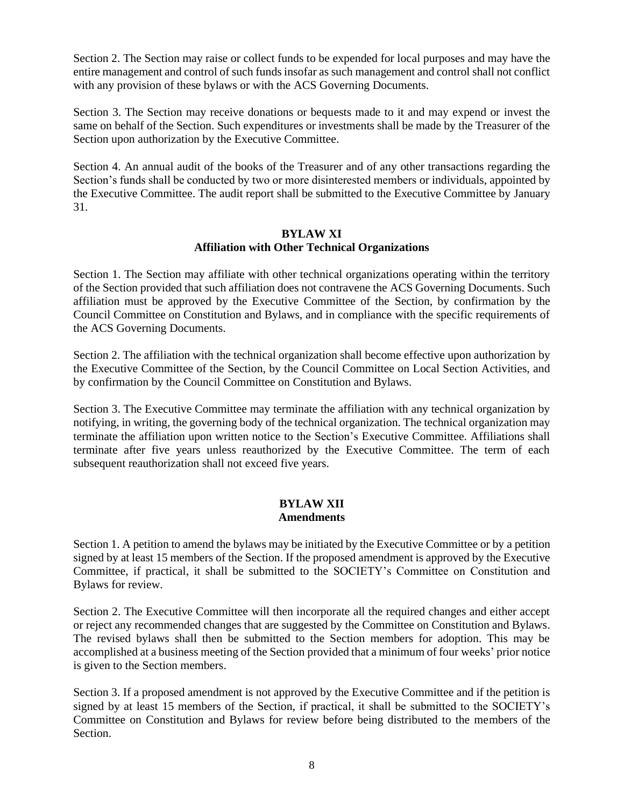Section 2. The Section may raise or collect funds to be expended for local purposes and may have the entire management and control of such funds insofar as such management and control shall not conflict with any provision of these bylaws or with the ACS Governing Documents.

Section 3. The Section may receive donations or bequests made to it and may expend or invest the same on behalf of the Section. Such expenditures or investments shall be made by the Treasurer of the Section upon authorization by the Executive Committee.

Section 4. An annual audit of the books of the Treasurer and of any other transactions regarding the Section's funds shall be conducted by two or more disinterested members or individuals, appointed by the Executive Committee. The audit report shall be submitted to the Executive Committee by January 31.

## **BYLAW XI Affiliation with Other Technical Organizations**

Section 1. The Section may affiliate with other technical organizations operating within the territory of the Section provided that such affiliation does not contravene the ACS Governing Documents. Such affiliation must be approved by the Executive Committee of the Section, by confirmation by the Council Committee on Constitution and Bylaws, and in compliance with the specific requirements of the ACS Governing Documents.

Section 2. The affiliation with the technical organization shall become effective upon authorization by the Executive Committee of the Section, by the Council Committee on Local Section Activities, and by confirmation by the Council Committee on Constitution and Bylaws.

Section 3. The Executive Committee may terminate the affiliation with any technical organization by notifying, in writing, the governing body of the technical organization. The technical organization may terminate the affiliation upon written notice to the Section's Executive Committee. Affiliations shall terminate after five years unless reauthorized by the Executive Committee. The term of each subsequent reauthorization shall not exceed five years.

### **BYLAW XII Amendments**

Section 1. A petition to amend the bylaws may be initiated by the Executive Committee or by a petition signed by at least 15 members of the Section. If the proposed amendment is approved by the Executive Committee, if practical, it shall be submitted to the SOCIETY's Committee on Constitution and Bylaws for review.

Section 2. The Executive Committee will then incorporate all the required changes and either accept or reject any recommended changes that are suggested by the Committee on Constitution and Bylaws. The revised bylaws shall then be submitted to the Section members for adoption. This may be accomplished at a business meeting of the Section provided that a minimum of four weeks' prior notice is given to the Section members.

Section 3. If a proposed amendment is not approved by the Executive Committee and if the petition is signed by at least 15 members of the Section, if practical, it shall be submitted to the SOCIETY's Committee on Constitution and Bylaws for review before being distributed to the members of the Section.